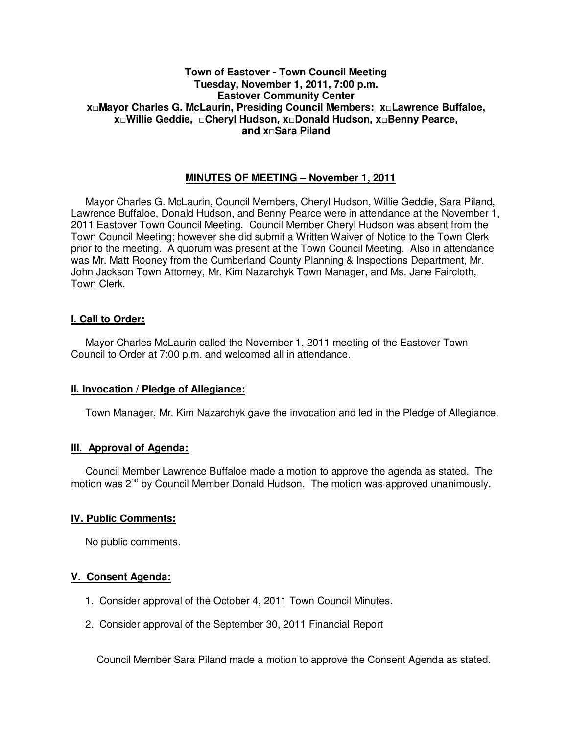# **Town of Eastover - Town Council Meeting Tuesday, November 1, 2011, 7:00 p.m. Eastover Community Center x□Mayor Charles G. McLaurin, Presiding Council Members: x□Lawrence Buffaloe, x□Willie Geddie, □Cheryl Hudson, x□Donald Hudson, x□Benny Pearce, and x□Sara Piland**

# **MINUTES OF MEETING – November 1, 2011**

Mayor Charles G. McLaurin, Council Members, Cheryl Hudson, Willie Geddie, Sara Piland, Lawrence Buffaloe, Donald Hudson, and Benny Pearce were in attendance at the November 1, 2011 Eastover Town Council Meeting. Council Member Cheryl Hudson was absent from the Town Council Meeting; however she did submit a Written Waiver of Notice to the Town Clerk prior to the meeting. A quorum was present at the Town Council Meeting. Also in attendance was Mr. Matt Rooney from the Cumberland County Planning & Inspections Department, Mr. John Jackson Town Attorney, Mr. Kim Nazarchyk Town Manager, and Ms. Jane Faircloth, Town Clerk.

# **I. Call to Order:**

Mayor Charles McLaurin called the November 1, 2011 meeting of the Eastover Town Council to Order at 7:00 p.m. and welcomed all in attendance.

## **II. Invocation / Pledge of Allegiance:**

Town Manager, Mr. Kim Nazarchyk gave the invocation and led in the Pledge of Allegiance.

# **III. Approval of Agenda:**

 Council Member Lawrence Buffaloe made a motion to approve the agenda as stated. The motion was  $2^{nd}$  by Council Member Donald Hudson. The motion was approved unanimously.

## **IV. Public Comments:**

No public comments.

# **V. Consent Agenda:**

- 1. Consider approval of the October 4, 2011 Town Council Minutes.
- 2. Consider approval of the September 30, 2011 Financial Report

Council Member Sara Piland made a motion to approve the Consent Agenda as stated.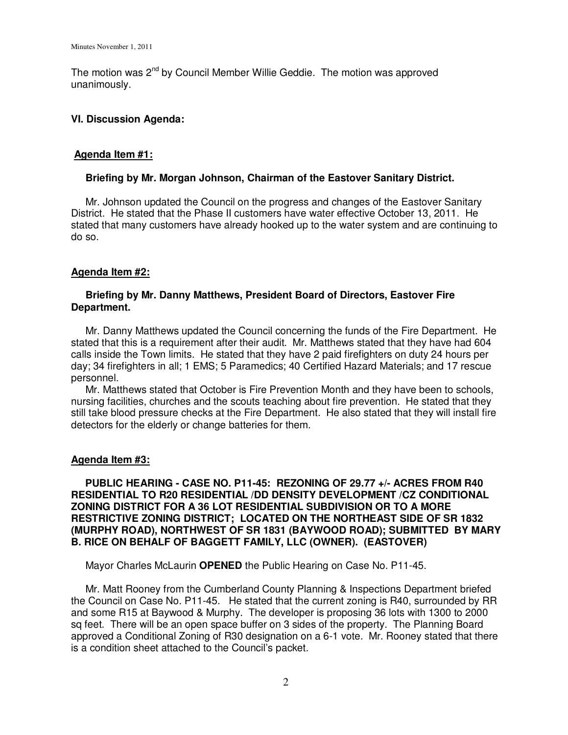The motion was  $2^{nd}$  by Council Member Willie Geddie. The motion was approved unanimously.

### **VI. Discussion Agenda:**

## **Agenda Item #1:**

### **Briefing by Mr. Morgan Johnson, Chairman of the Eastover Sanitary District.**

 Mr. Johnson updated the Council on the progress and changes of the Eastover Sanitary District. He stated that the Phase II customers have water effective October 13, 2011. He stated that many customers have already hooked up to the water system and are continuing to do so.

## **Agenda Item #2:**

## **Briefing by Mr. Danny Matthews, President Board of Directors, Eastover Fire Department.**

 Mr. Danny Matthews updated the Council concerning the funds of the Fire Department. He stated that this is a requirement after their audit. Mr. Matthews stated that they have had 604 calls inside the Town limits. He stated that they have 2 paid firefighters on duty 24 hours per day; 34 firefighters in all; 1 EMS; 5 Paramedics; 40 Certified Hazard Materials; and 17 rescue personnel.

 Mr. Matthews stated that October is Fire Prevention Month and they have been to schools, nursing facilities, churches and the scouts teaching about fire prevention. He stated that they still take blood pressure checks at the Fire Department. He also stated that they will install fire detectors for the elderly or change batteries for them.

#### **Agenda Item #3:**

 **PUBLIC HEARING - CASE NO. P11-45: REZONING OF 29.77 +/- ACRES FROM R40 RESIDENTIAL TO R20 RESIDENTIAL /DD DENSITY DEVELOPMENT /CZ CONDITIONAL ZONING DISTRICT FOR A 36 LOT RESIDENTIAL SUBDIVISION OR TO A MORE RESTRICTIVE ZONING DISTRICT; LOCATED ON THE NORTHEAST SIDE OF SR 1832 (MURPHY ROAD), NORTHWEST OF SR 1831 (BAYWOOD ROAD); SUBMITTED BY MARY B. RICE ON BEHALF OF BAGGETT FAMILY, LLC (OWNER). (EASTOVER)** 

Mayor Charles McLaurin **OPENED** the Public Hearing on Case No. P11-45.

 Mr. Matt Rooney from the Cumberland County Planning & Inspections Department briefed the Council on Case No. P11-45. He stated that the current zoning is R40, surrounded by RR and some R15 at Baywood & Murphy. The developer is proposing 36 lots with 1300 to 2000 sq feet. There will be an open space buffer on 3 sides of the property. The Planning Board approved a Conditional Zoning of R30 designation on a 6-1 vote. Mr. Rooney stated that there is a condition sheet attached to the Council's packet.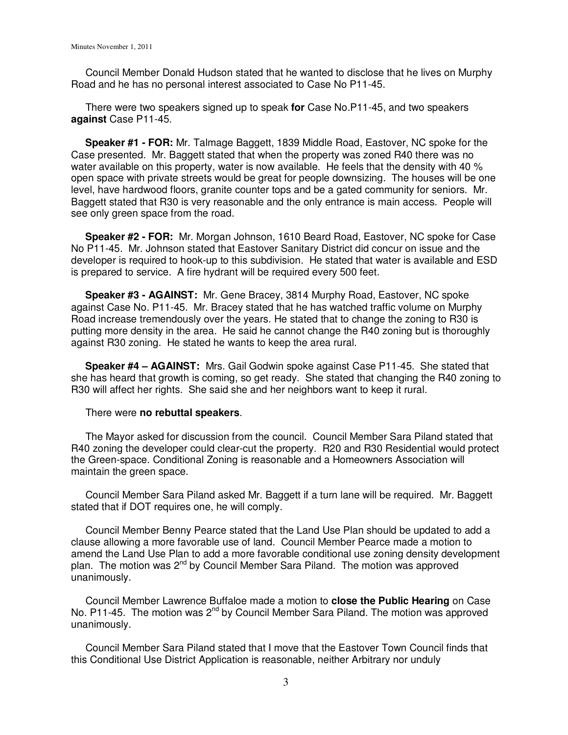Council Member Donald Hudson stated that he wanted to disclose that he lives on Murphy Road and he has no personal interest associated to Case No P11-45.

 There were two speakers signed up to speak **for** Case No.P11-45, and two speakers **against** Case P11-45.

 **Speaker #1 - FOR:** Mr. Talmage Baggett, 1839 Middle Road, Eastover, NC spoke for the Case presented. Mr. Baggett stated that when the property was zoned R40 there was no water available on this property, water is now available. He feels that the density with 40 % open space with private streets would be great for people downsizing. The houses will be one level, have hardwood floors, granite counter tops and be a gated community for seniors. Mr. Baggett stated that R30 is very reasonable and the only entrance is main access. People will see only green space from the road.

 **Speaker #2 - FOR:** Mr. Morgan Johnson, 1610 Beard Road, Eastover, NC spoke for Case No P11-45. Mr. Johnson stated that Eastover Sanitary District did concur on issue and the developer is required to hook-up to this subdivision. He stated that water is available and ESD is prepared to service. A fire hydrant will be required every 500 feet.

 **Speaker #3 - AGAINST:** Mr. Gene Bracey, 3814 Murphy Road, Eastover, NC spoke against Case No. P11-45. Mr. Bracey stated that he has watched traffic volume on Murphy Road increase tremendously over the years. He stated that to change the zoning to R30 is putting more density in the area. He said he cannot change the R40 zoning but is thoroughly against R30 zoning. He stated he wants to keep the area rural.

 **Speaker #4 – AGAINST:** Mrs. Gail Godwin spoke against Case P11-45. She stated that she has heard that growth is coming, so get ready. She stated that changing the R40 zoning to R30 will affect her rights. She said she and her neighbors want to keep it rural.

#### There were **no rebuttal speakers**.

 The Mayor asked for discussion from the council. Council Member Sara Piland stated that R40 zoning the developer could clear-cut the property. R20 and R30 Residential would protect the Green-space. Conditional Zoning is reasonable and a Homeowners Association will maintain the green space.

 Council Member Sara Piland asked Mr. Baggett if a turn lane will be required. Mr. Baggett stated that if DOT requires one, he will comply.

 Council Member Benny Pearce stated that the Land Use Plan should be updated to add a clause allowing a more favorable use of land. Council Member Pearce made a motion to amend the Land Use Plan to add a more favorable conditional use zoning density development plan. The motion was  $2^{nd}$  by Council Member Sara Piland. The motion was approved unanimously.

 Council Member Lawrence Buffaloe made a motion to **close the Public Hearing** on Case No. P11-45. The motion was 2<sup>nd</sup> by Council Member Sara Piland. The motion was approved unanimously.

 Council Member Sara Piland stated that I move that the Eastover Town Council finds that this Conditional Use District Application is reasonable, neither Arbitrary nor unduly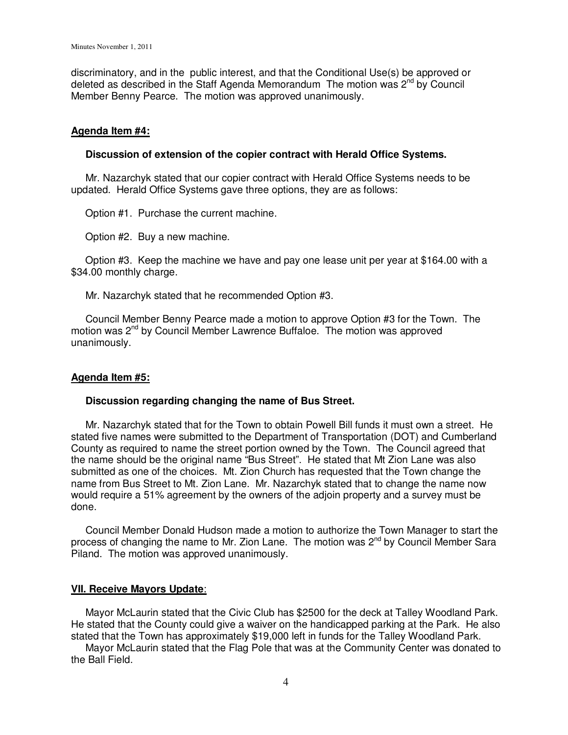discriminatory, and in the public interest, and that the Conditional Use(s) be approved or deleted as described in the Staff Agenda Memorandum The motion was  $2<sup>nd</sup>$  by Council Member Benny Pearce. The motion was approved unanimously.

### **Agenda Item #4:**

#### **Discussion of extension of the copier contract with Herald Office Systems.**

 Mr. Nazarchyk stated that our copier contract with Herald Office Systems needs to be updated. Herald Office Systems gave three options, they are as follows:

Option #1. Purchase the current machine.

Option #2. Buy a new machine.

 Option #3. Keep the machine we have and pay one lease unit per year at \$164.00 with a \$34.00 monthly charge.

Mr. Nazarchyk stated that he recommended Option #3.

 Council Member Benny Pearce made a motion to approve Option #3 for the Town. The motion was 2<sup>nd</sup> by Council Member Lawrence Buffaloe. The motion was approved unanimously.

## **Agenda Item #5:**

#### **Discussion regarding changing the name of Bus Street.**

 Mr. Nazarchyk stated that for the Town to obtain Powell Bill funds it must own a street. He stated five names were submitted to the Department of Transportation (DOT) and Cumberland County as required to name the street portion owned by the Town. The Council agreed that the name should be the original name "Bus Street". He stated that Mt Zion Lane was also submitted as one of the choices. Mt. Zion Church has requested that the Town change the name from Bus Street to Mt. Zion Lane. Mr. Nazarchyk stated that to change the name now would require a 51% agreement by the owners of the adjoin property and a survey must be done.

 Council Member Donald Hudson made a motion to authorize the Town Manager to start the process of changing the name to Mr. Zion Lane. The motion was 2<sup>nd</sup> by Council Member Sara Piland. The motion was approved unanimously.

#### **VII. Receive Mayors Update**:

 Mayor McLaurin stated that the Civic Club has \$2500 for the deck at Talley Woodland Park. He stated that the County could give a waiver on the handicapped parking at the Park. He also stated that the Town has approximately \$19,000 left in funds for the Talley Woodland Park.

 Mayor McLaurin stated that the Flag Pole that was at the Community Center was donated to the Ball Field.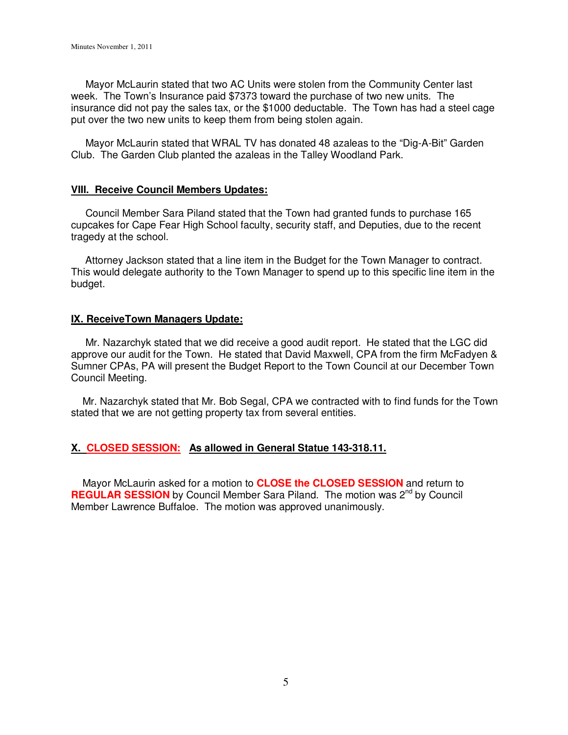Mayor McLaurin stated that two AC Units were stolen from the Community Center last week. The Town's Insurance paid \$7373 toward the purchase of two new units. The insurance did not pay the sales tax, or the \$1000 deductable. The Town has had a steel cage put over the two new units to keep them from being stolen again.

 Mayor McLaurin stated that WRAL TV has donated 48 azaleas to the "Dig-A-Bit" Garden Club. The Garden Club planted the azaleas in the Talley Woodland Park.

### **VIII. Receive Council Members Updates:**

 Council Member Sara Piland stated that the Town had granted funds to purchase 165 cupcakes for Cape Fear High School faculty, security staff, and Deputies, due to the recent tragedy at the school.

 Attorney Jackson stated that a line item in the Budget for the Town Manager to contract. This would delegate authority to the Town Manager to spend up to this specific line item in the budget.

### **IX. ReceiveTown Managers Update:**

 Mr. Nazarchyk stated that we did receive a good audit report. He stated that the LGC did approve our audit for the Town. He stated that David Maxwell, CPA from the firm McFadyen & Sumner CPAs, PA will present the Budget Report to the Town Council at our December Town Council Meeting.

 Mr. Nazarchyk stated that Mr. Bob Segal, CPA we contracted with to find funds for the Town stated that we are not getting property tax from several entities.

## **X. CLOSED SESSION: As allowed in General Statue 143-318.11.**

 Mayor McLaurin asked for a motion to **CLOSE the CLOSED SESSION** and return to **REGULAR SESSION** by Council Member Sara Piland. The motion was 2<sup>nd</sup> by Council Member Lawrence Buffaloe. The motion was approved unanimously.